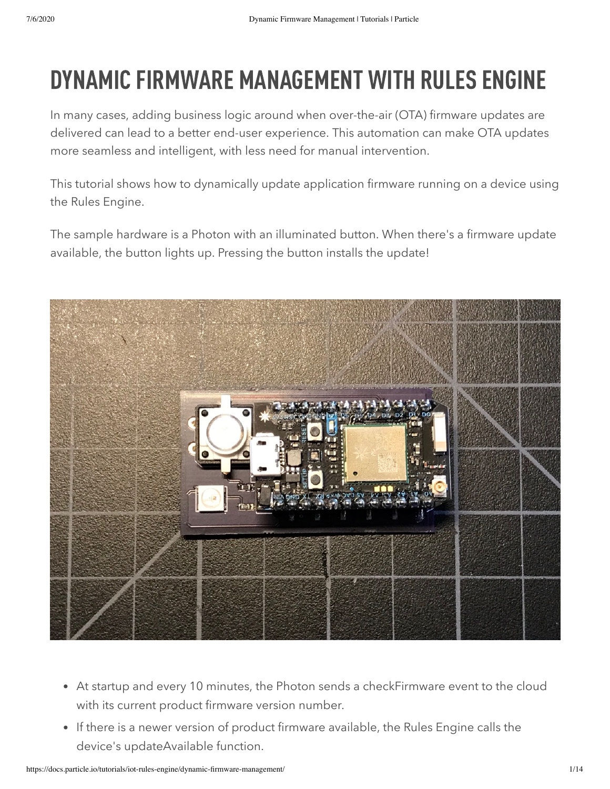# DYNAMIC FIRMWARE MANAGEMENT WITH RULES ENGINE

In many cases, adding business logic around when over-the-air (OTA) firmware updates are delivered can lead to a better end-user experience. This automation can make OTA updates more seamless and intelligent, with less need for manual intervention.

This tutorial shows how to dynamically update application firmware running on a device using the Rules Engine.

The sample hardware is a Photon with an illuminated button. When there's a firmware update available, the button lights up. Pressing the button installs the update!



- At startup and every 10 minutes, the Photon sends a checkFirmware event to the cloud with its current product firmware version number.
- If there is a newer version of product firmware available, the Rules Engine calls the device's updateAvailable function.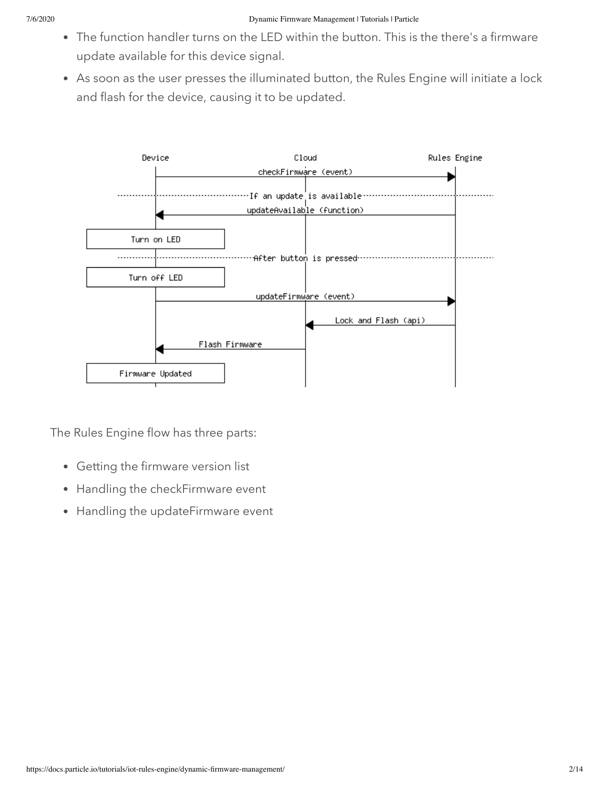- The function handler turns on the LED within the button. This is the there's a firmware update available for this device signal.
- As soon as the user presses the illuminated button, the Rules Engine will initiate a lock and flash for the device, causing it to be updated.



The Rules Engine flow has three parts:

- Getting the firmware version list
- Handling the checkFirmware event
- Handling the updateFirmware event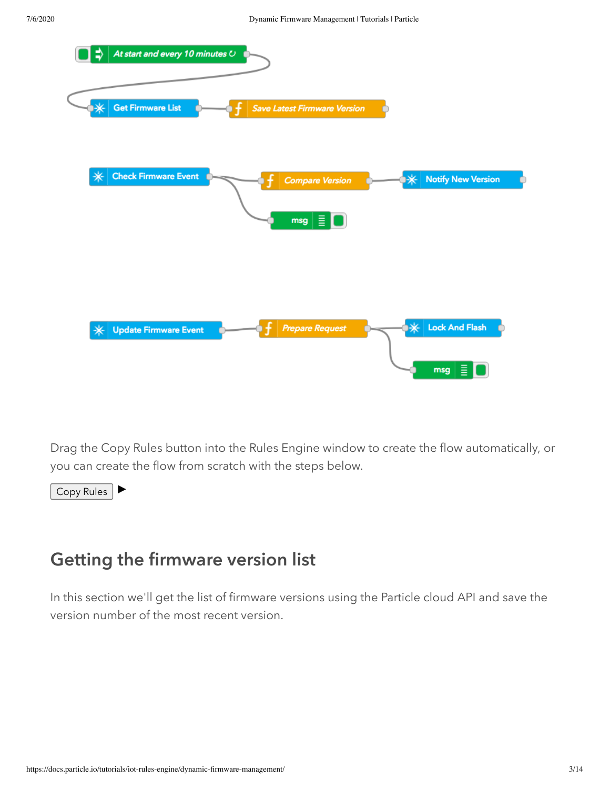

Drag the Copy Rules button into the Rules Engine window to create the flow automatically, or you can create the flow from scratch with the steps below.

Copy Rules

## Getting the firmware version list

In this section we'll get the list of firmware versions using the Particle cloud API and save the version number of the most recent version.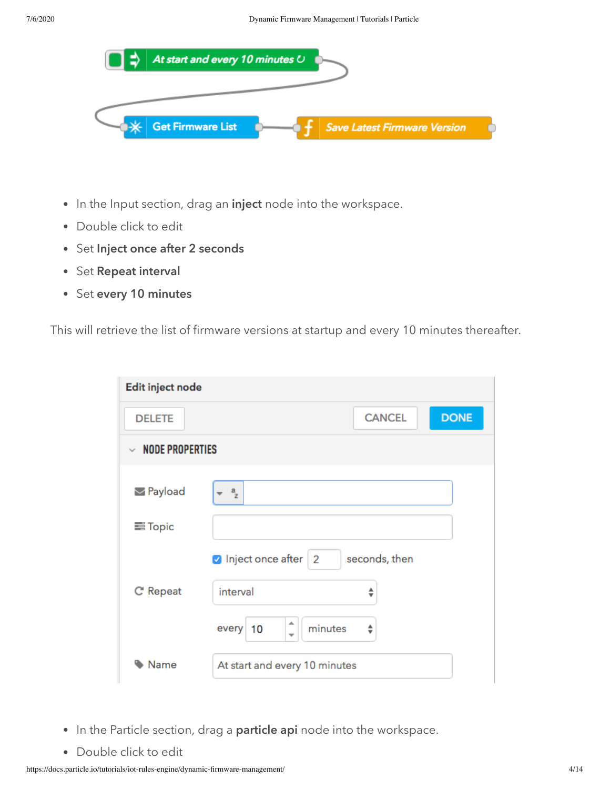

- In the Input section, drag an inject node into the workspace.
- Double click to edit
- Set Inject once after 2 seconds
- Set Repeat interval
- Set every 10 minutes

This will retrieve the list of firmware versions at startup and every 10 minutes thereafter.

| Edit inject node       |                                                           |  |  |
|------------------------|-----------------------------------------------------------|--|--|
| <b>DELETE</b>          | <b>DONE</b><br><b>CANCEL</b>                              |  |  |
| $\vee$ NODE PROPERTIES |                                                           |  |  |
| Payload                | $a$ <sub>z</sub>                                          |  |  |
| <b>三 Topic</b>         |                                                           |  |  |
| C' Repeat              | Inject once after 2<br>seconds, then<br>interval<br>÷     |  |  |
|                        | ∸<br>minutes<br>every 10<br>÷<br>$\overline{\phantom{a}}$ |  |  |
| Name                   | At start and every 10 minutes                             |  |  |

- In the Particle section, drag a particle api node into the workspace.
- Double click to edit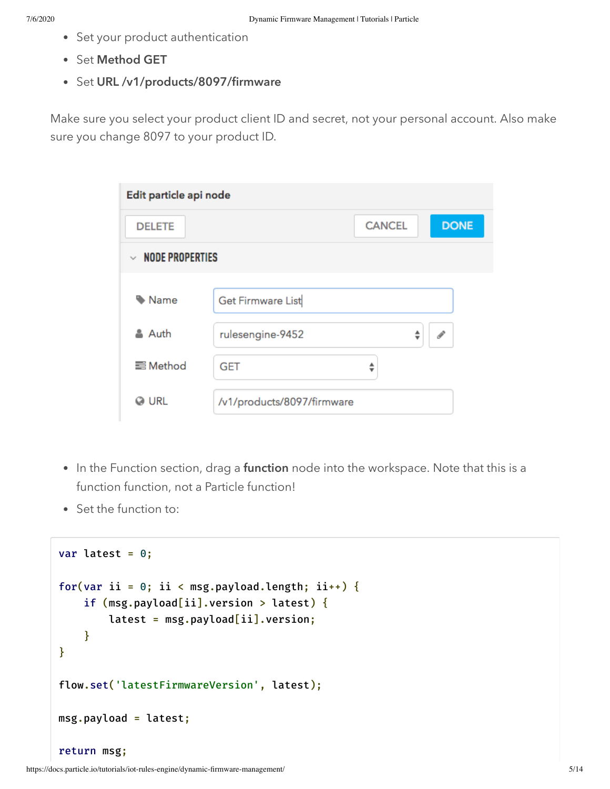- Set your product authentication
- Set Method GET
- Set URL /v1/products/8097/firmware

Make sure you select your product client ID and secret, not your personal account. Also make sure you change 8097 to your product ID.

| Edit particle api node                 |                            |               |   |               |
|----------------------------------------|----------------------------|---------------|---|---------------|
| <b>DELETE</b>                          |                            | <b>CANCEL</b> |   | <b>DONE</b>   |
| <b>NODE PROPERTIES</b><br>$\checkmark$ |                            |               |   |               |
| Name                                   | Get Firmware List          |               |   |               |
| & Auth                                 | rulesengine-9452           |               | ÷ | $\mathcal{S}$ |
| <b>■Method</b>                         | <b>GET</b>                 | ≜             |   |               |
| <b>O</b> URL                           | /v1/products/8097/firmware |               |   |               |

- In the Function section, drag a function node into the workspace. Note that this is a function function, not a Particle function!
- Set the function to:

```
var latest = 0;
for(var ii = 0; ii < msg.payload.length; ii++) {
    if (msg.payload[ii].version > latest) {
        latest = msg.payload[ii].version;
    }
}
flow.set('latestFirmwareVersion', latest);
msg.payload = latest;
return msg;
```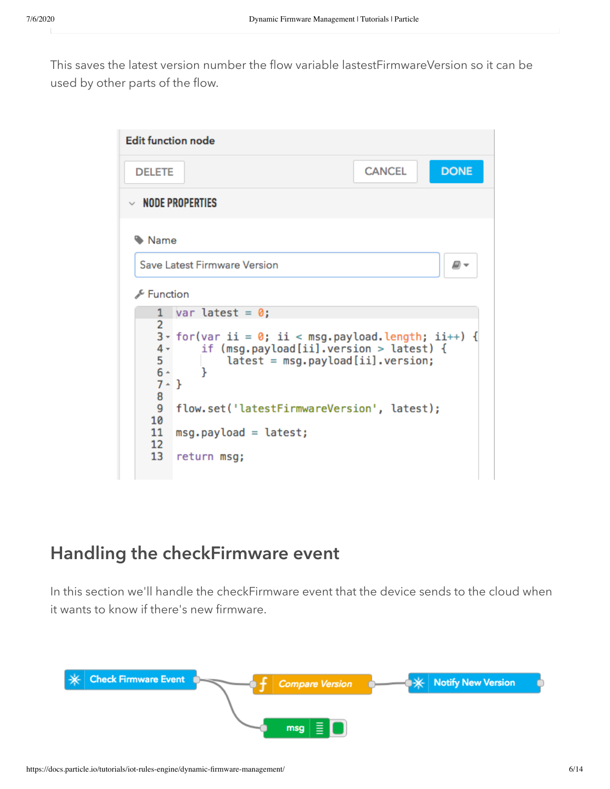This saves the latest version number the flow variable lastestFirmwareVersion so it can be used by other parts of the flow.



### Handling the checkFirmware event

In this section we'll handle the checkFirmware event that the device sends to the cloud when it wants to know if there's new firmware.

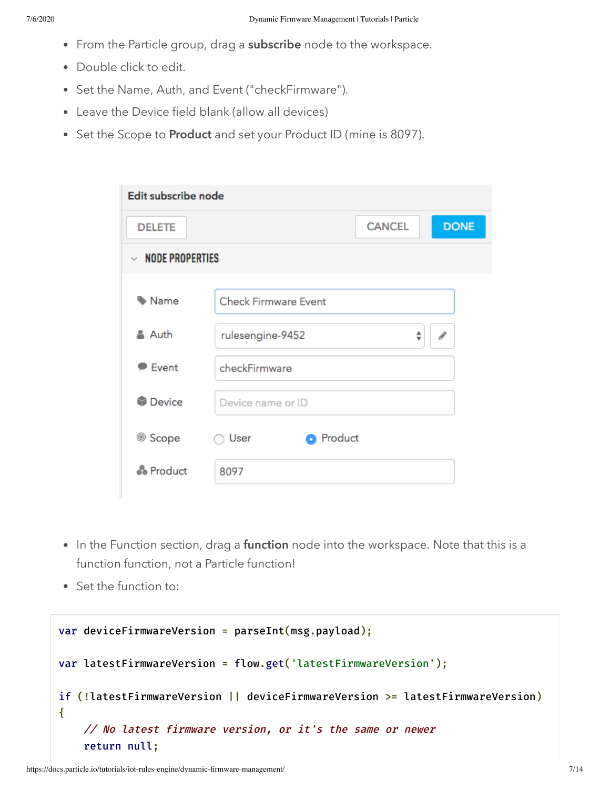- From the Particle group, drag a subscribe node to the workspace.
- Double click to edit.
- Set the Name, Auth, and Event ("checkFirmware").
- Leave the Device field blank (allow all devices)
- Set the Scope to Product and set your Product ID (mine is 8097).

| Edit subscribe node         |                             |               |               |  |
|-----------------------------|-----------------------------|---------------|---------------|--|
| <b>DELETE</b>               |                             | <b>CANCEL</b> | <b>DONE</b>   |  |
| $\vee$ NODE PROPERTIES      |                             |               |               |  |
| Mame                        | <b>Check Firmware Event</b> |               |               |  |
| & Auth                      | rulesengine-9452            | ÷             | $\mathcal{I}$ |  |
| $\blacktriangleright$ Event | checkFirmware               |               |               |  |
| <b>Device</b>               | Device name or ID           |               |               |  |
| ◎ Scope                     | <b>O</b> Product<br>User    |               |               |  |
| <i>မိ</i> ဳ Product         | 8097                        |               |               |  |

- In the Function section, drag a function node into the workspace. Note that this is a function function, not a Particle function!
- Set the function to:

var deviceFirmwareVersion = parseInt(msg.payload); var latestFirmwareVersion = flow.get('latestFirmwareVersion'); if (!latestFirmwareVersion || deviceFirmwareVersion >= latestFirmwareVersion) { // No latest firmware version, or it's the same or newer return null;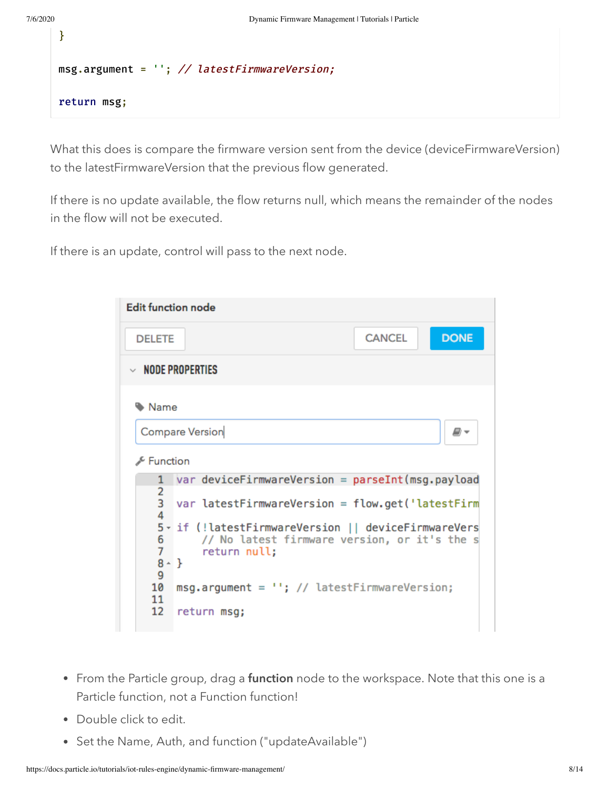```
}
msg.argument = ''; // latestFirmwareVersion;
return msg;
```
What this does is compare the firmware version sent from the device (deviceFirmwareVersion) to the latestFirmwareVersion that the previous flow generated.

If there is no update available, the flow returns null, which means the remainder of the nodes in the flow will not be executed.

If there is an update, control will pass to the next node.

| <b>Edit function node</b> |                                                                                                                          |               |             |  |
|---------------------------|--------------------------------------------------------------------------------------------------------------------------|---------------|-------------|--|
| <b>DELETE</b>             |                                                                                                                          | <b>CANCEL</b> | <b>DONE</b> |  |
|                           | $\vee$ node properties                                                                                                   |               |             |  |
| Name                      |                                                                                                                          |               |             |  |
|                           | <b>Compare Version</b><br>o -                                                                                            |               |             |  |
| Function                  |                                                                                                                          |               |             |  |
|                           | $var$ device Firm ware Version = parse Int (msg. pay load                                                                |               |             |  |
| 2<br>$\overline{3}$<br>4  | $var$ latestFirmwareVersion = flow.get('latestFirm                                                                       |               |             |  |
| 7                         | 5- if (!latestFirmwareVersion    deviceFirmwareVers<br>6<br>// No latest firmware version, or it's the s<br>return null; |               |             |  |
| 9                         | $8 - \}$                                                                                                                 |               |             |  |
| 10<br>11                  | $msg.arange = '''; // latest FirmwareVersion;$                                                                           |               |             |  |
| 12                        | return msg;                                                                                                              |               |             |  |

- From the Particle group, drag a function node to the workspace. Note that this one is a Particle function, not a Function function!
- Double click to edit.
- Set the Name, Auth, and function ("updateAvailable")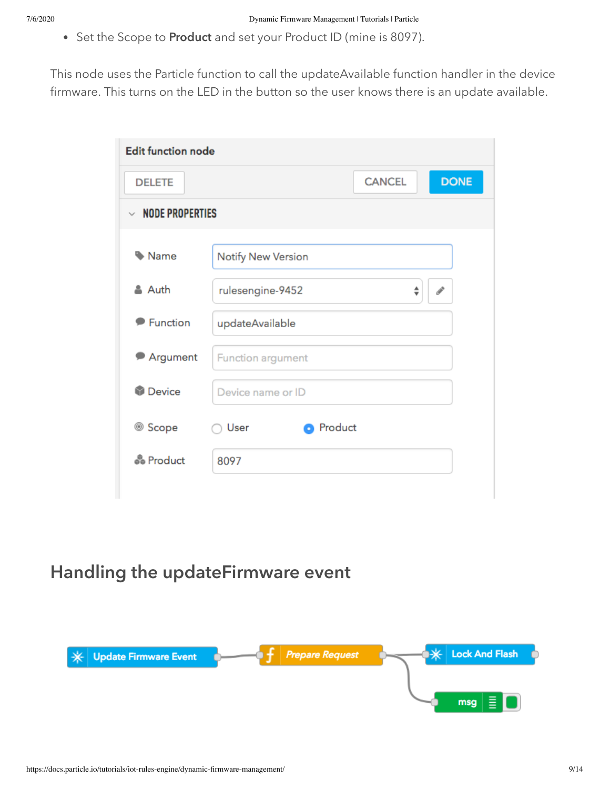• Set the Scope to Product and set your Product ID (mine is 8097).

This node uses the Particle function to call the updateAvailable function handler in the device firmware. This turns on the LED in the button so the user knows there is an update available.

| <b>Edit function node</b>               |                                        |  |  |
|-----------------------------------------|----------------------------------------|--|--|
| <b>DELETE</b>                           | <b>DONE</b><br><b>CANCEL</b>           |  |  |
| <b>NODE PROPERTIES</b><br>$\mathcal{L}$ |                                        |  |  |
|                                         |                                        |  |  |
| Name                                    | <b>Notify New Version</b>              |  |  |
| & Auth                                  | rulesengine-9452<br>÷<br>$\mathcal{P}$ |  |  |
| <b>Function</b>                         | updateAvailable                        |  |  |
| Argument                                | Function argument                      |  |  |
| <b>Device</b>                           | Device name or ID                      |  |  |
| <sup>◎</sup> Scope                      | <b>O</b> Product<br>User               |  |  |
| <i>မိ</i> ဳ Product                     | 8097                                   |  |  |
|                                         |                                        |  |  |

### Handling the updateFirmware event

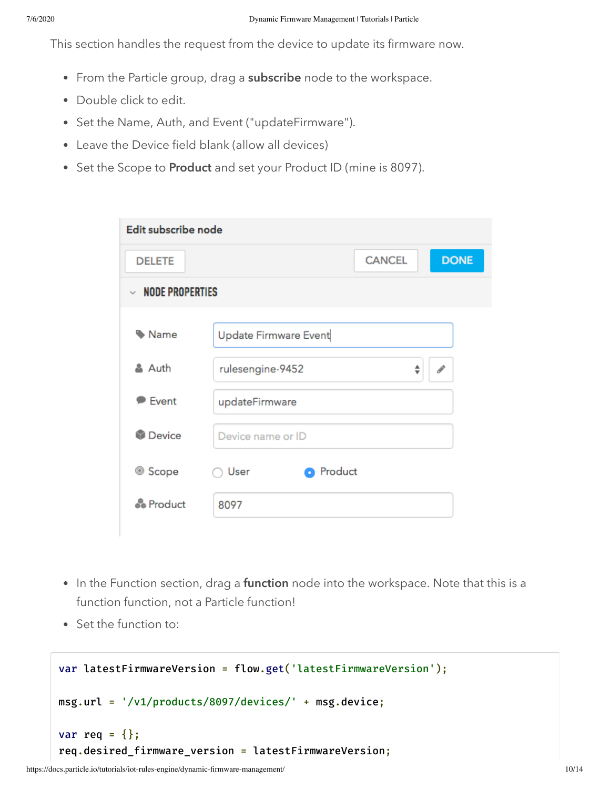This section handles the request from the device to update its firmware now.

- From the Particle group, drag a subscribe node to the workspace.
- Double click to edit.
- Set the Name, Auth, and Event ("updateFirmware").
- Leave the Device field blank (allow all devices)
- Set the Scope to Product and set your Product ID (mine is 8097).

| Edit subscribe node    |                              |  |  |  |
|------------------------|------------------------------|--|--|--|
| <b>DELETE</b>          | <b>DONE</b><br><b>CANCEL</b> |  |  |  |
| $\vee$ NODE PROPERTIES |                              |  |  |  |
| Name                   | Update Firmware Event        |  |  |  |
| & Auth                 | rulesengine-9452<br>÷        |  |  |  |
| $\bullet$ Event        | updateFirmware               |  |  |  |
| <b>Device</b>          | Device name or ID            |  |  |  |
| ◎ Scope                | Product<br>User<br>o         |  |  |  |
| <i>မိ</i> ဳ Product    | 8097                         |  |  |  |

- In the Function section, drag a function node into the workspace. Note that this is a function function, not a Particle function!
- Set the function to:

```
var latestFirmwareVersion = flow.get('latestFirmwareVersion');
msg.url = '/v1/products/8097/devices/' + msg.device;
var req = \{\};
req.desired_firmware_version = latestFirmwareVersion;
```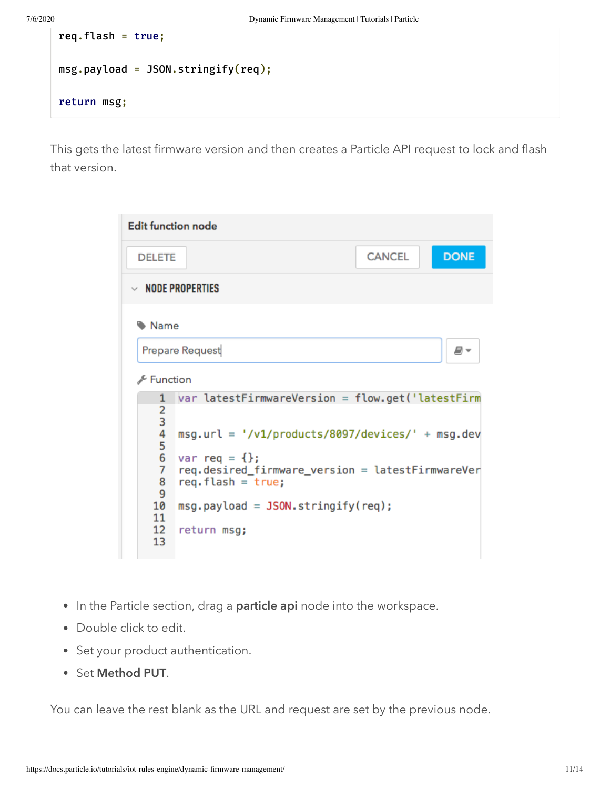```
req.flash = true;
msg.payload = JSON.stringify(req);
return msg;
```
This gets the latest firmware version and then creates a Particle API request to lock and flash that version.

| <b>Edit function node</b>                                                                     |                                                                                                                                                                                                                                                                        |               |             |  |
|-----------------------------------------------------------------------------------------------|------------------------------------------------------------------------------------------------------------------------------------------------------------------------------------------------------------------------------------------------------------------------|---------------|-------------|--|
| <b>DELETE</b>                                                                                 |                                                                                                                                                                                                                                                                        | <b>CANCEL</b> | <b>DONE</b> |  |
|                                                                                               | $\vee$ node properties                                                                                                                                                                                                                                                 |               |             |  |
| Name<br>∱ Function                                                                            | Prepare Request                                                                                                                                                                                                                                                        |               | ₽-          |  |
| 1<br>2<br>3<br>4<br>5<br>6<br>$\overline{7}$<br>8<br>9<br>10<br>11<br>$12 \overline{ }$<br>13 | var latestFirmwareVersion = flow.get('latestFirm<br>$msg.util = ' / v1 / products / 8097 / devices / ' + msg.dev$<br>$var$ req = {};<br>req.desired_firmware_version = latestFirmwareVer<br>$req.flash = true;$<br>$msg.payload = JSON.stringify(req);$<br>return msg; |               |             |  |

- In the Particle section, drag a particle api node into the workspace.
- Double click to edit.
- Set your product authentication.
- Set Method PUT.

You can leave the rest blank as the URL and request are set by the previous node.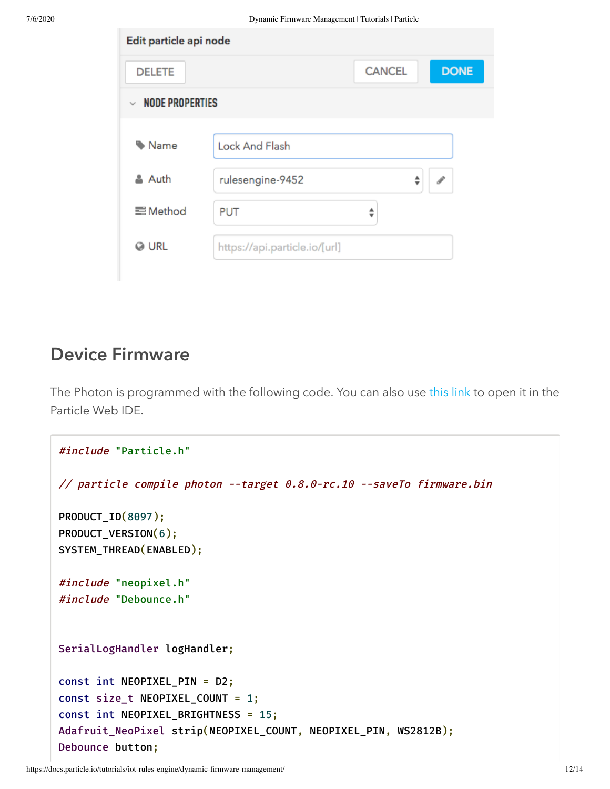| Edit particle api node           |                               |               |   |               |
|----------------------------------|-------------------------------|---------------|---|---------------|
| <b>DELETE</b>                    |                               | <b>CANCEL</b> |   | <b>DONE</b>   |
| <b>NODE PROPERTIES</b><br>$\sim$ |                               |               |   |               |
|                                  |                               |               |   |               |
| Name                             | <b>Lock And Flash</b>         |               |   |               |
| & Auth                           | rulesengine-9452              |               | ÷ | $\mathcal{J}$ |
| <b>三</b> Method                  | <b>PUT</b>                    | ≑             |   |               |
| <b>O</b> URL                     | https://api.particle.io/[url] |               |   |               |

#### Device Firmware

The Photon is programmed with the following code. You can also use [this link](https://go.particle.io/shared_apps/5babba3d3242a9571a001728) to open it in the Particle Web IDE.

```
#include "Particle.h"
// particle compile photon --target 0.8.0-rc.10 --saveTo firmware.bin
PRODUCT_ID(8097);
PRODUCT_VERSION(6);
SYSTEM_THREAD(ENABLED);
#include "neopixel.h"
#include "Debounce.h"
SerialLogHandler logHandler;
const int NEOPIXEL_PIN = D2;
const size_t NEOPIXEL_COUNT = 1;
const int NEOPIXEL_BRIGHTNESS = 15;
Adafruit_NeoPixel strip(NEOPIXEL_COUNT, NEOPIXEL_PIN, WS2812B);
Debounce button;
```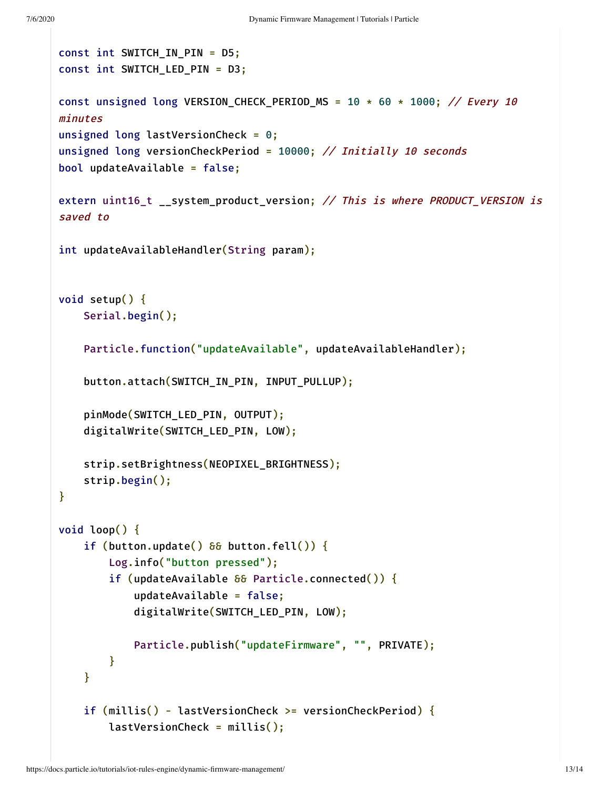```
const int SWITCH_IN_PIN = D5;
const int SWITCH_LED_PIN = D3;
const unsigned long VERSION_CHECK_PERIOD_MS = 10 * 60 * 1000; // Every 10
minutes
unsigned long lastVersionCheck = 0;
unsigned long versionCheckPeriod = 10000; // Initially 10 seconds
bool updateAvailable = false;
extern uint16_t __system_product_version; // This is where PRODUCT_VERSION is
saved to
int updateAvailableHandler(String param);
void setup() {
    Serial.begin();
    Particle.function("updateAvailable", updateAvailableHandler);
    button.attach(SWITCH_IN_PIN, INPUT_PULLUP);
    pinMode(SWITCH_LED_PIN, OUTPUT);
    digitalWrite(SWITCH_LED_PIN, LOW);
    strip.setBrightness(NEOPIXEL_BRIGHTNESS);
    strip.begin();
}
void loop() {
    if (button.update() \delta\delta button.fell()) {
        Log.info("button pressed");
        if (updateAvailable \delta\delta Particle.connected()) {
            updateAvailable = false;
            digitalWrite(SWITCH_LED_PIN, LOW);
            Particle.publish("updateFirmware", "", PRIVATE);
        }
    }
    if (millis() - lastVersionCheck >= versionCheckPeriod) {
        lastVersionCheck = millis();
```